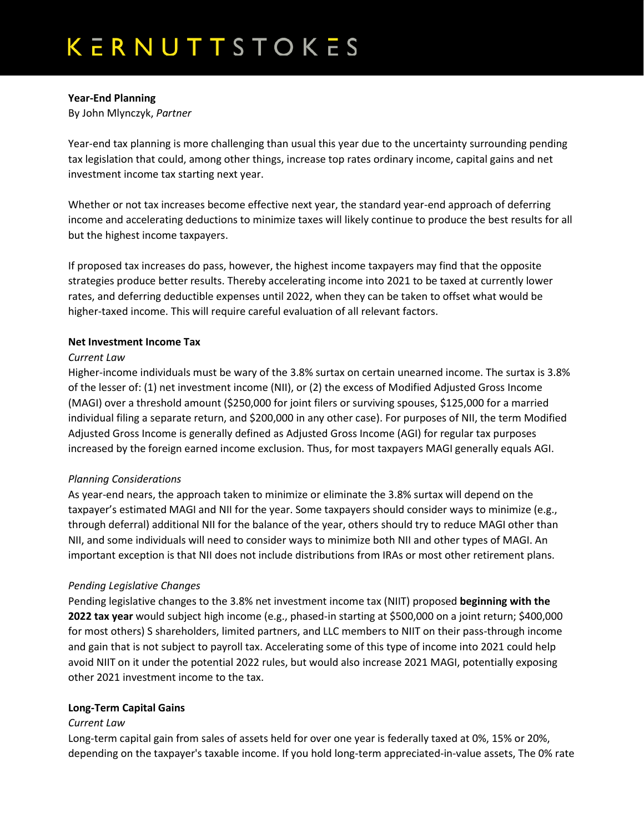# **Year-End Planning**

By John Mlynczyk, *Partner*

Year-end tax planning is more challenging than usual this year due to the uncertainty surrounding pending tax legislation that could, among other things, increase top rates ordinary income, capital gains and net investment income tax starting next year.

Whether or not tax increases become effective next year, the standard year-end approach of deferring income and accelerating deductions to minimize taxes will likely continue to produce the best results for all but the highest income taxpayers.

If proposed tax increases do pass, however, the highest income taxpayers may find that the opposite strategies produce better results. Thereby accelerating income into 2021 to be taxed at currently lower rates, and deferring deductible expenses until 2022, when they can be taken to offset what would be higher-taxed income. This will require careful evaluation of all relevant factors.

## **Net Investment Income Tax**

## *Current Law*

Higher-income individuals must be wary of the 3.8% surtax on certain unearned income. The surtax is 3.8% of the lesser of: (1) net investment income (NII), or (2) the excess of Modified Adjusted Gross Income (MAGI) over a threshold amount (\$250,000 for joint filers or surviving spouses, \$125,000 for a married individual filing a separate return, and \$200,000 in any other case). For purposes of NII, the term Modified Adjusted Gross Income is generally defined as Adjusted Gross Income (AGI) for regular tax purposes increased by the foreign earned income exclusion. Thus, for most taxpayers MAGI generally equals AGI.

# *Planning Considerations*

As year-end nears, the approach taken to minimize or eliminate the 3.8% surtax will depend on the taxpayer's estimated MAGI and NII for the year. Some taxpayers should consider ways to minimize (e.g., through deferral) additional NII for the balance of the year, others should try to reduce MAGI other than NII, and some individuals will need to consider ways to minimize both NII and other types of MAGI. An important exception is that NII does not include distributions from IRAs or most other retirement plans.

# *Pending Legislative Changes*

Pending legislative changes to the 3.8% net investment income tax (NIIT) proposed **beginning with the 2022 tax year** would subject high income (e.g., phased-in starting at \$500,000 on a joint return; \$400,000 for most others) S shareholders, limited partners, and LLC members to NIIT on their pass-through income and gain that is not subject to payroll tax. Accelerating some of this type of income into 2021 could help avoid NIIT on it under the potential 2022 rules, but would also increase 2021 MAGI, potentially exposing other 2021 investment income to the tax.

#### **Long-Term Capital Gains**

# *Current Law*

Long-term capital gain from sales of assets held for over one year is federally taxed at 0%, 15% or 20%, depending on the taxpayer's taxable income. If you hold long-term appreciated-in-value assets, The 0% rate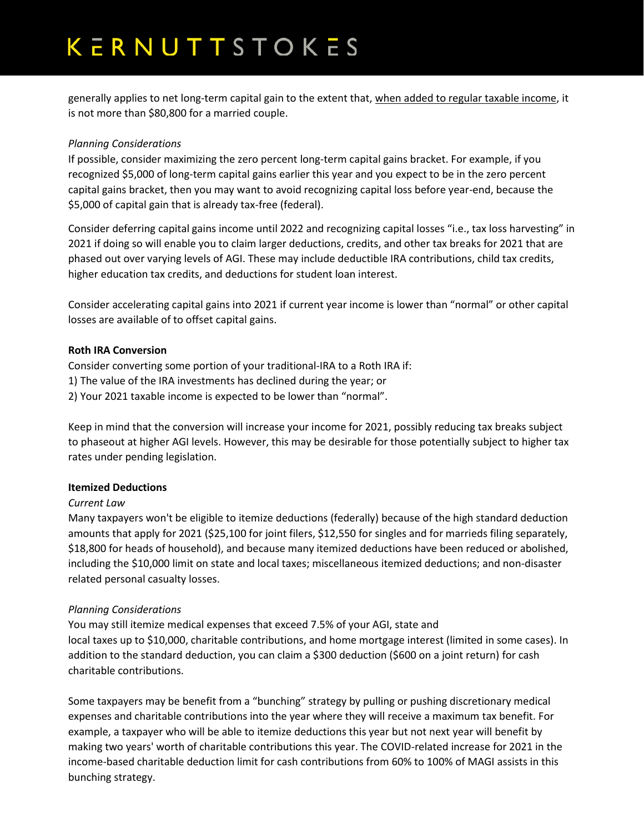# KERNUTTSTOKES

generally applies to net long-term capital gain to the extent that, when added to regular taxable income, it is not more than \$80,800 for a married couple.

## *Planning Considerations*

If possible, consider maximizing the zero percent long-term capital gains bracket. For example, if you recognized \$5,000 of long-term capital gains earlier this year and you expect to be in the zero percent capital gains bracket, then you may want to avoid recognizing capital loss before year-end, because the \$5,000 of capital gain that is already tax-free (federal).

Consider deferring capital gains income until 2022 and recognizing capital losses "i.e., tax loss harvesting" in 2021 if doing so will enable you to claim larger deductions, credits, and other tax breaks for 2021 that are phased out over varying levels of AGI. These may include deductible IRA contributions, child tax credits, higher education tax credits, and deductions for student loan interest.

Consider accelerating capital gains into 2021 if current year income is lower than "normal" or other capital losses are available of to offset capital gains.

#### **Roth IRA Conversion**

Consider converting some portion of your traditional-IRA to a Roth IRA if:

- 1) The value of the IRA investments has declined during the year; or
- 2) Your 2021 taxable income is expected to be lower than "normal".

Keep in mind that the conversion will increase your income for 2021, possibly reducing tax breaks subject to phaseout at higher AGI levels. However, this may be desirable for those potentially subject to higher tax rates under pending legislation.

#### **Itemized Deductions**

#### *Current Law*

Many taxpayers won't be eligible to itemize deductions (federally) because of the high standard deduction amounts that apply for 2021 (\$25,100 for joint filers, \$12,550 for singles and for marrieds filing separately, \$18,800 for heads of household), and because many itemized deductions have been reduced or abolished, including the \$10,000 limit on state and local taxes; miscellaneous itemized deductions; and non-disaster related personal casualty losses.

# *Planning Considerations*

You may still itemize medical expenses that exceed 7.5% of your AGI, state and local taxes up to \$10,000, charitable contributions, and home mortgage interest (limited in some cases). In addition to the standard deduction, you can claim a \$300 deduction (\$600 on a joint return) for cash charitable contributions.

Some taxpayers may be benefit from a "bunching" strategy by pulling or pushing discretionary medical expenses and charitable contributions into the year where they will receive a maximum tax benefit. For example, a taxpayer who will be able to itemize deductions this year but not next year will benefit by making two years' worth of charitable contributions this year. The COVID-related increase for 2021 in the income-based charitable deduction limit for cash contributions from 60% to 100% of MAGI assists in this bunching strategy.